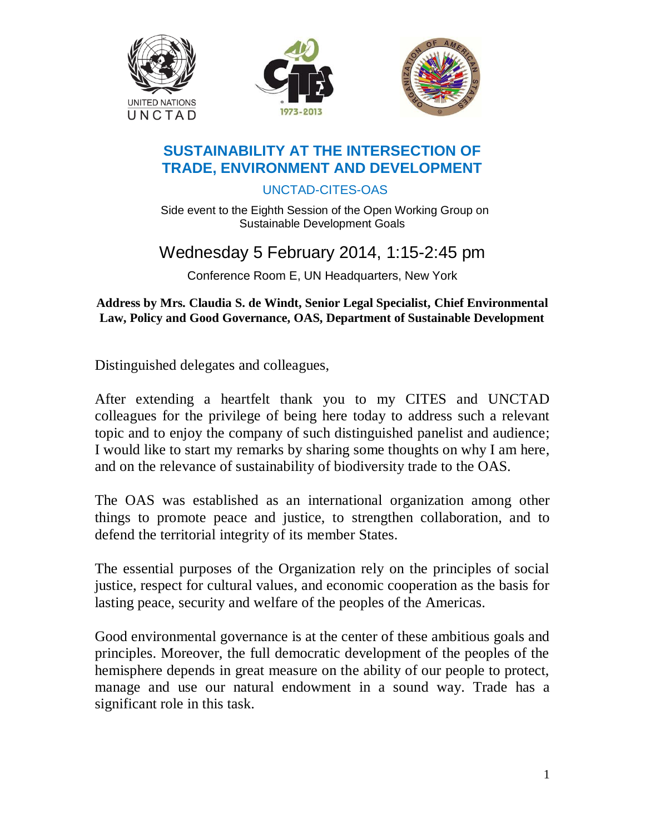

#### **SUSTAINABILITY AT THE INTERSECTION OF TRADE, ENVIRONMENT AND DEVELOPMENT**

UNCTAD-CITES-OAS

Side event to the Eighth Session of the Open Working Group on Sustainable Development Goals

# Wednesday 5 February 2014, 1:15-2:45 pm

Conference Room E, UN Headquarters, New York

#### **Address by Mrs. Claudia S. de Windt, Senior Legal Specialist, Chief Environmental Law, Policy and Good Governance, OAS, Department of Sustainable Development**

Distinguished delegates and colleagues,

After extending a heartfelt thank you to my CITES and UNCTAD colleagues for the privilege of being here today to address such a relevant topic and to enjoy the company of such distinguished panelist and audience; I would like to start my remarks by sharing some thoughts on why I am here, and on the relevance of sustainability of biodiversity trade to the OAS.

The OAS was established as an international organization among other things to promote peace and justice, to strengthen collaboration, and to defend the territorial integrity of its member States.

The essential purposes of the Organization rely on the principles of social justice, respect for cultural values, and economic cooperation as the basis for lasting peace, security and welfare of the peoples of the Americas.

Good environmental governance is at the center of these ambitious goals and principles. Moreover, the full democratic development of the peoples of the hemisphere depends in great measure on the ability of our people to protect, manage and use our natural endowment in a sound way. Trade has a significant role in this task.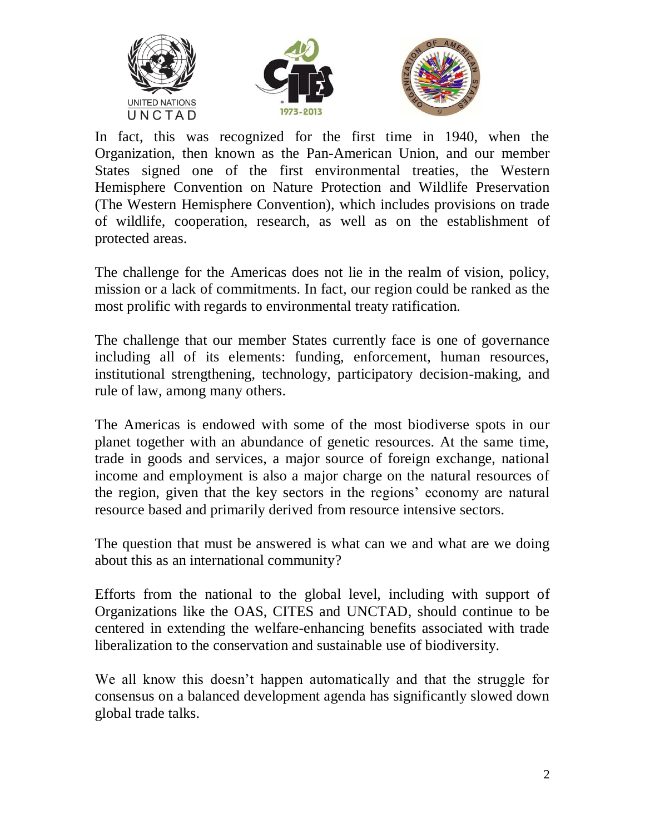





In fact, this was recognized for the first time in 1940, when the Organization, then known as the Pan-American Union, and our member States signed one of the first environmental treaties, the Western Hemisphere Convention on Nature Protection and Wildlife Preservation (The Western Hemisphere Convention), which includes provisions on trade of wildlife, cooperation, research, as well as on the establishment of protected areas.

The challenge for the Americas does not lie in the realm of vision, policy, mission or a lack of commitments. In fact, our region could be ranked as the most prolific with regards to environmental treaty ratification.

The challenge that our member States currently face is one of governance including all of its elements: funding, enforcement, human resources, institutional strengthening, technology, participatory decision-making, and rule of law, among many others.

The Americas is endowed with some of the most biodiverse spots in our planet together with an abundance of genetic resources. At the same time, trade in goods and services, a major source of foreign exchange, national income and employment is also a major charge on the natural resources of the region, given that the key sectors in the regions' economy are natural resource based and primarily derived from resource intensive sectors.

The question that must be answered is what can we and what are we doing about this as an international community?

Efforts from the national to the global level, including with support of Organizations like the OAS, CITES and UNCTAD, should continue to be centered in extending the welfare-enhancing benefits associated with trade liberalization to the conservation and sustainable use of biodiversity.

We all know this doesn't happen automatically and that the struggle for consensus on a balanced development agenda has significantly slowed down global trade talks.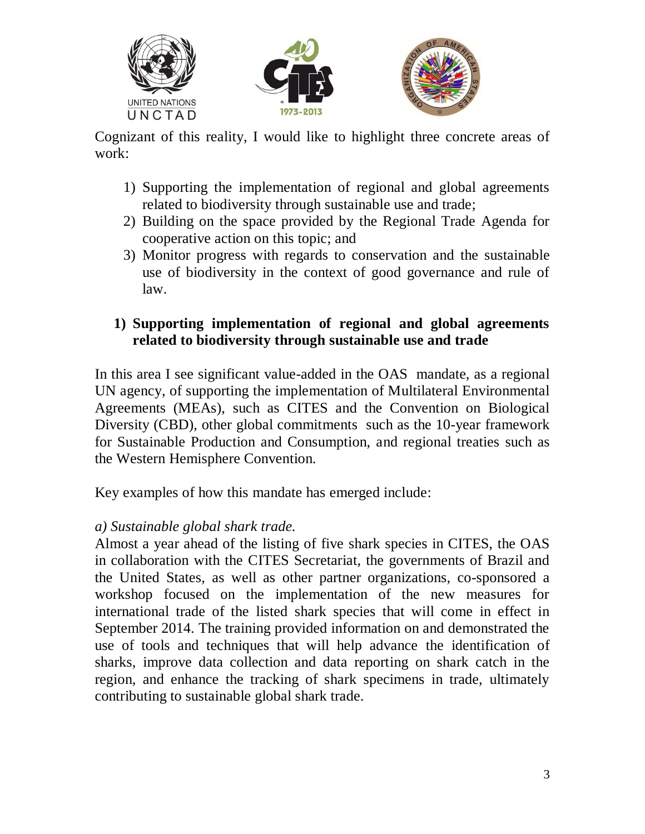





Cognizant of this reality, I would like to highlight three concrete areas of work:

- 1) Supporting the implementation of regional and global agreements related to biodiversity through sustainable use and trade;
- 2) Building on the space provided by the Regional Trade Agenda for cooperative action on this topic; and
- 3) Monitor progress with regards to conservation and the sustainable use of biodiversity in the context of good governance and rule of law.

# **1) Supporting implementation of regional and global agreements related to biodiversity through sustainable use and trade**

In this area I see significant value-added in the OAS mandate, as a regional UN agency, of supporting the implementation of Multilateral Environmental Agreements (MEAs), such as CITES and the Convention on Biological Diversity (CBD), other global commitments such as the 10-year framework for Sustainable Production and Consumption, and regional treaties such as the Western Hemisphere Convention.

Key examples of how this mandate has emerged include:

### *a) Sustainable global shark trade.*

Almost a year ahead of the listing of five shark species in CITES, the OAS in collaboration with the CITES Secretariat, the governments of Brazil and the United States, as well as other partner organizations, co-sponsored a workshop focused on the implementation of the new measures for international trade of the listed shark species that will come in effect in September 2014. The training provided information on and demonstrated the use of tools and techniques that will help advance the identification of sharks, improve data collection and data reporting on shark catch in the region, and enhance the tracking of shark specimens in trade, ultimately contributing to sustainable global shark trade.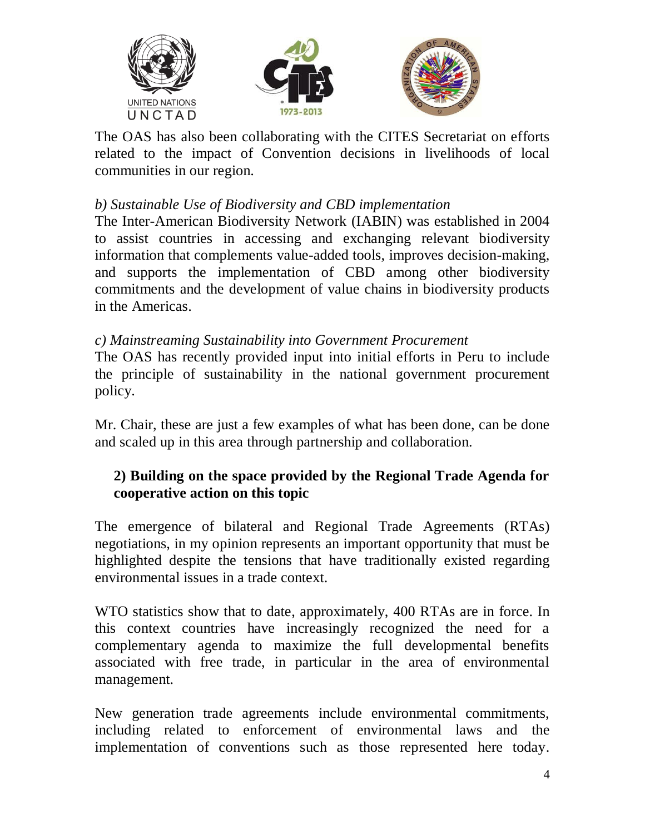





The OAS has also been collaborating with the CITES Secretariat on efforts related to the impact of Convention decisions in livelihoods of local communities in our region.

## *b) Sustainable Use of Biodiversity and CBD implementation*

The Inter-American Biodiversity Network (IABIN) was established in 2004 to assist countries in accessing and exchanging relevant biodiversity information that complements value-added tools, improves decision-making, and supports the implementation of CBD among other biodiversity commitments and the development of value chains in biodiversity products in the Americas.

#### *c) Mainstreaming Sustainability into Government Procurement*

The OAS has recently provided input into initial efforts in Peru to include the principle of sustainability in the national government procurement policy.

Mr. Chair, these are just a few examples of what has been done, can be done and scaled up in this area through partnership and collaboration.

### **2) Building on the space provided by the Regional Trade Agenda for cooperative action on this topic**

The emergence of bilateral and Regional Trade Agreements (RTAs) negotiations, in my opinion represents an important opportunity that must be highlighted despite the tensions that have traditionally existed regarding environmental issues in a trade context.

WTO statistics show that to date, approximately, 400 RTAs are in force. In this context countries have increasingly recognized the need for a complementary agenda to maximize the full developmental benefits associated with free trade, in particular in the area of environmental management.

New generation trade agreements include environmental commitments, including related to enforcement of environmental laws and the implementation of conventions such as those represented here today.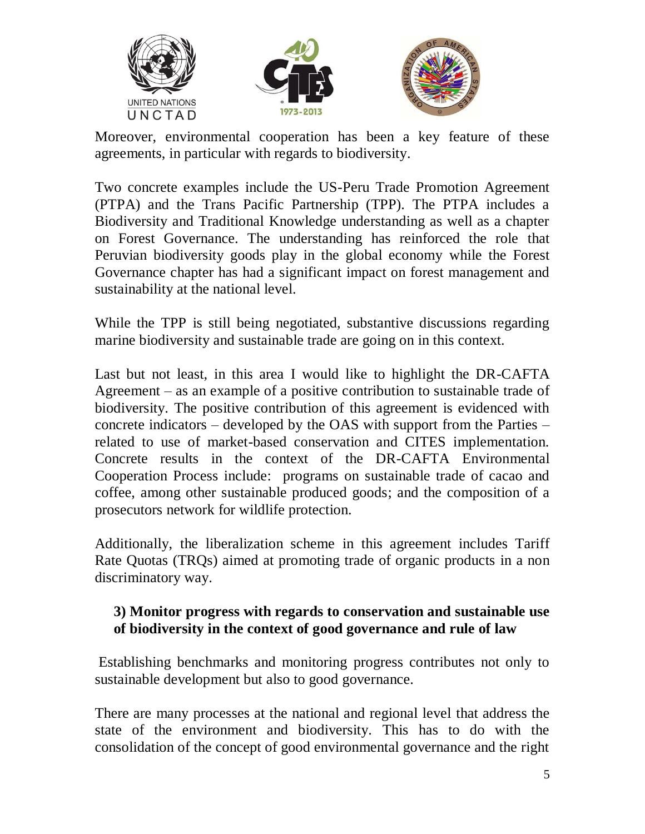





Moreover, environmental cooperation has been a key feature of these agreements, in particular with regards to biodiversity.

Two concrete examples include the US-Peru Trade Promotion Agreement (PTPA) and the Trans Pacific Partnership (TPP). The PTPA includes a Biodiversity and Traditional Knowledge understanding as well as a chapter on Forest Governance. The understanding has reinforced the role that Peruvian biodiversity goods play in the global economy while the Forest Governance chapter has had a significant impact on forest management and sustainability at the national level.

While the TPP is still being negotiated, substantive discussions regarding marine biodiversity and sustainable trade are going on in this context.

Last but not least, in this area I would like to highlight the DR-CAFTA Agreement – as an example of a positive contribution to sustainable trade of biodiversity. The positive contribution of this agreement is evidenced with concrete indicators – developed by the OAS with support from the Parties – related to use of market-based conservation and CITES implementation. Concrete results in the context of the DR-CAFTA Environmental Cooperation Process include: programs on sustainable trade of cacao and coffee, among other sustainable produced goods; and the composition of a prosecutors network for wildlife protection.

Additionally, the liberalization scheme in this agreement includes Tariff Rate Quotas (TRQs) aimed at promoting trade of organic products in a non discriminatory way.

### **3) Monitor progress with regards to conservation and sustainable use of biodiversity in the context of good governance and rule of law**

Establishing benchmarks and monitoring progress contributes not only to sustainable development but also to good governance.

There are many processes at the national and regional level that address the state of the environment and biodiversity. This has to do with the consolidation of the concept of good environmental governance and the right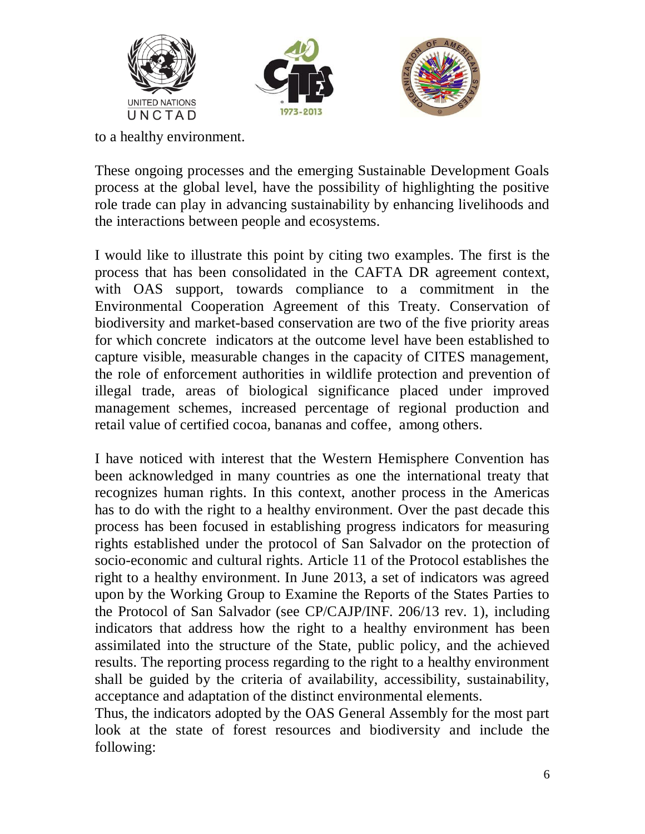





to a healthy environment.

These ongoing processes and the emerging Sustainable Development Goals process at the global level, have the possibility of highlighting the positive role trade can play in advancing sustainability by enhancing livelihoods and the interactions between people and ecosystems.

I would like to illustrate this point by citing two examples. The first is the process that has been consolidated in the CAFTA DR agreement context, with OAS support, towards compliance to a commitment in the Environmental Cooperation Agreement of this Treaty. Conservation of biodiversity and market-based conservation are two of the five priority areas for which concrete indicators at the outcome level have been established to capture visible, measurable changes in the capacity of CITES management, the role of enforcement authorities in wildlife protection and prevention of illegal trade, areas of biological significance placed under improved management schemes, increased percentage of regional production and retail value of certified cocoa, bananas and coffee, among others.

I have noticed with interest that the Western Hemisphere Convention has been acknowledged in many countries as one the international treaty that recognizes human rights. In this context, another process in the Americas has to do with the right to a healthy environment. Over the past decade this process has been focused in establishing progress indicators for measuring rights established under the protocol of San Salvador on the protection of socio-economic and cultural rights. Article 11 of the Protocol establishes the right to a healthy environment. In June 2013, a set of indicators was agreed upon by the Working Group to Examine the Reports of the States Parties to the Protocol of San Salvador (see CP/CAJP/INF. 206/13 rev. 1), including indicators that address how the right to a healthy environment has been assimilated into the structure of the State, public policy, and the achieved results. The reporting process regarding to the right to a healthy environment shall be guided by the criteria of availability, accessibility, sustainability, acceptance and adaptation of the distinct environmental elements.

Thus, the indicators adopted by the OAS General Assembly for the most part look at the state of forest resources and biodiversity and include the following: